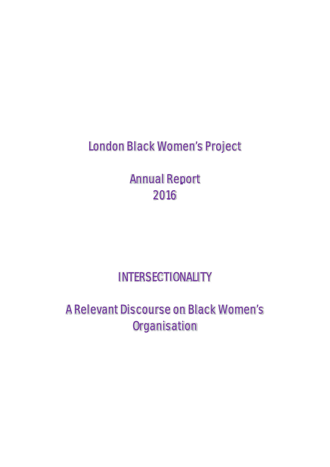London Black Women's Project

Annual Report 2016

INTERSECTIONALITY

A Relevant Discourse on Black Women's **Organisation**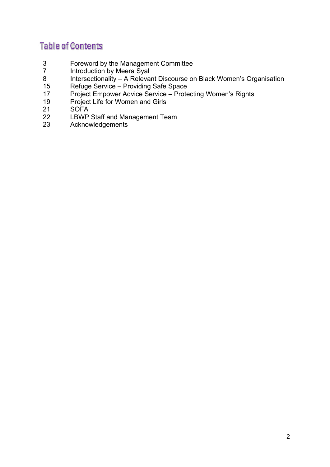# Table of Contents

- 3 Foreword by the Management Committee<br>
7 Introduction by Meera Syal
- Introduction by Meera Syal
- 8 Intersectionality A Relevant Discourse on Black Women's Organisation
- 15 Refuge Service Providing Safe Space
- 17 Project Empower Advice Service Protecting Women's Rights
- 19 Project Life for Women and Girls<br>21 SOFA
- SOFA
- 22 LBWP Staff and Management Team
- 23 Acknowledgements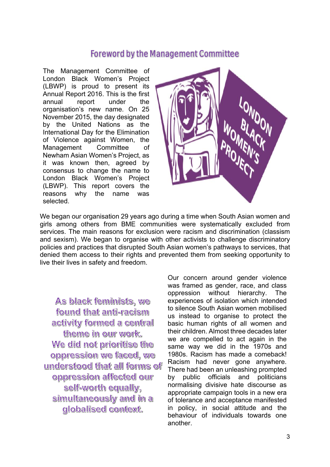## Foreword by the Management Committee

The Management Committee of London Black Women's Project (LBWP) is proud to present its Annual Report 2016. This is the first annual report under the organisation's new name. On 25 November 2015, the day designated by the United Nations as the International Day for the Elimination of Violence against Women, the Management Committee of Newham Asian Women's Project, as it was known then, agreed by consensus to change the name to London Black Women's Project (LBWP). This report covers the reasons why the name was selected.



We began our organisation 29 years ago during a time when South Asian women and girls among others from BME communities were systematically excluded from services. The main reasons for exclusion were racism and discrimination (classism and sexism). We began to organise with other activists to challenge discriminatory policies and practices that disrupted South Asian women's pathways to services, that denied them access to their rights and prevented them from seeking opportunity to live their lives in safety and freedom.

As black feminists, we found that anti-racism activity formed a central theme in our work. We did not prioritise the oppression we faced, we understood that all forms of oppression affected our self-worth equally, simultaneously and in a globalised context.

Our concern around gender violence was framed as gender, race, and class oppression without hierarchy. The experiences of isolation which intended to silence South Asian women mobilised us instead to organise to protect the basic human rights of all women and their children. Almost three decades later we are compelled to act again in the same way we did in the 1970s and 1980s. Racism has made a comeback! Racism had never gone anywhere. There had been an unleashing prompted by public officials and politicians normalising divisive hate discourse as appropriate campaign tools in a new era of tolerance and acceptance manifested in policy, in social attitude and the behaviour of individuals towards one another.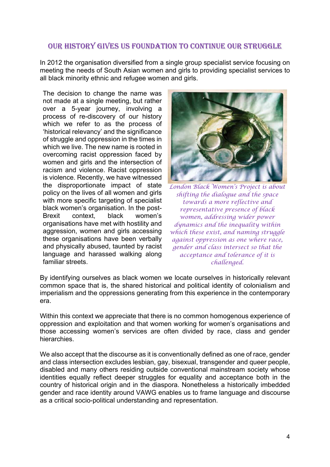## OUR HISTORY GIVES US FOUNDATION TO CONTINUE OUR STRUGGLE

In 2012 the organisation diversified from a single group specialist service focusing on meeting the needs of South Asian women and girls to providing specialist services to all black minority ethnic and refugee women and girls.

The decision to change the name was not made at a single meeting, but rather over a 5-year journey, involving a process of re-discovery of our history which we refer to as the process of 'historical relevancy' and the significance of struggle and oppression in the times in which we live. The new name is rooted in overcoming racist oppression faced by women and girls and the intersection of racism and violence. Racist oppression is violence. Recently, we have witnessed the disproportionate impact of state policy on the lives of all women and girls with more specific targeting of specialist black women's organisation. In the post-Brexit context, black women's organisations have met with hostility and aggression, women and girls accessing these organisations have been verbally and physically abused, taunted by racist language and harassed walking along familiar streets.



*London Black Women's Project is about shifting the dialogue and the space towards a more reflective and representative presence of black women, addressing wider power dynamics and the inequality within which these exist, and naming struggle against oppression as one where race, gender and class intersect so that the acceptance and tolerance of it is challenged.* 

By identifying ourselves as black women we locate ourselves in historically relevant common space that is, the shared historical and political identity of colonialism and imperialism and the oppressions generating from this experience in the contemporary era.

Within this context we appreciate that there is no common homogenous experience of oppression and exploitation and that women working for women's organisations and those accessing women's services are often divided by race, class and gender hierarchies.

We also accept that the discourse as it is conventionally defined as one of race, gender and class intersection excludes lesbian, gay, bisexual, transgender and queer people, disabled and many others residing outside conventional mainstream society whose identities equally reflect deeper struggles for equality and acceptance both in the country of historical origin and in the diaspora. Nonetheless a historically imbedded gender and race identity around VAWG enables us to frame language and discourse as a critical socio-political understanding and representation.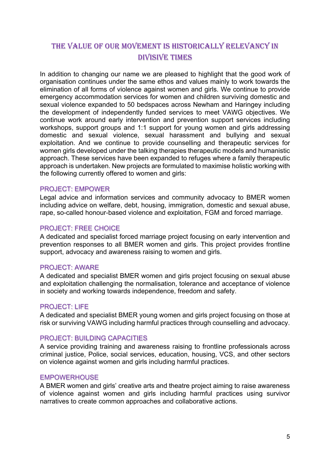## THE VALUE OF OUR MOVEMENT IS HISTORICALLY RELEVANCY IN DIVISIVE TIMES

In addition to changing our name we are pleased to highlight that the good work of organisation continues under the same ethos and values mainly to work towards the elimination of all forms of violence against women and girls. We continue to provide emergency accommodation services for women and children surviving domestic and sexual violence expanded to 50 bedspaces across Newham and Haringey including the development of independently funded services to meet VAWG objectives. We continue work around early intervention and prevention support services including workshops, support groups and 1:1 support for young women and girls addressing domestic and sexual violence, sexual harassment and bullying and sexual exploitation. And we continue to provide counselling and therapeutic services for women girls developed under the talking therapies therapeutic models and humanistic approach. These services have been expanded to refuges where a family therapeutic approach is undertaken. New projects are formulated to maximise holistic working with the following currently offered to women and girls:

## PROJECT: EMPOWER

Legal advice and information services and community advocacy to BMER women including advice on welfare, debt, housing, immigration, domestic and sexual abuse, rape, so-called honour-based violence and exploitation, FGM and forced marriage.

## PROJECT: FREE CHOICE

A dedicated and specialist forced marriage project focusing on early intervention and prevention responses to all BMER women and girls. This project provides frontline support, advocacy and awareness raising to women and girls.

## PROJECT: AWARE

A dedicated and specialist BMER women and girls project focusing on sexual abuse and exploitation challenging the normalisation, tolerance and acceptance of violence in society and working towards independence, freedom and safety.

## PROJECT: LIFE

A dedicated and specialist BMER young women and girls project focusing on those at risk or surviving VAWG including harmful practices through counselling and advocacy.

## PROJECT: BUILDING CAPACITIES

A service providing training and awareness raising to frontline professionals across criminal justice, Police, social services, education, housing, VCS, and other sectors on violence against women and girls including harmful practices.

### EMPOWERHOUSE

A BMER women and girls' creative arts and theatre project aiming to raise awareness of violence against women and girls including harmful practices using survivor narratives to create common approaches and collaborative actions.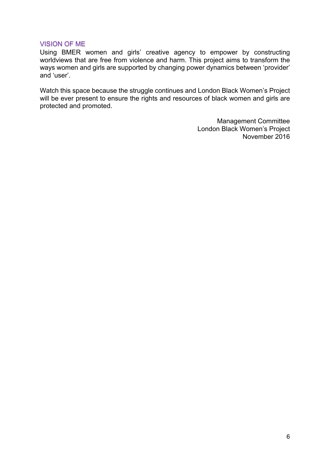## VISION OF ME

Using BMER women and girls' creative agency to empower by constructing worldviews that are free from violence and harm. This project aims to transform the ways women and girls are supported by changing power dynamics between 'provider' and 'user'.

Watch this space because the struggle continues and London Black Women's Project will be ever present to ensure the rights and resources of black women and girls are protected and promoted.

> Management Committee London Black Women's Project November 2016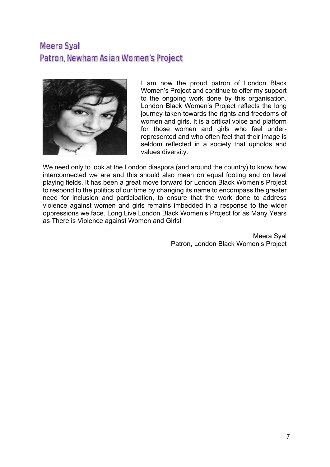# Meera Syal Patron, Newham Asian Women's Project



I am now the proud patron of London Black Women's Project and continue to offer my support to the ongoing work done by this organisation. London Black Women's Project reflects the long journey taken towards the rights and freedoms of women and girls. It is a critical voice and platform for those women and girls who feel underrepresented and who often feel that their image is seldom reflected in a society that upholds and values diversity.

We need only to look at the London diaspora (and around the country) to know how interconnected we are and this should also mean on equal footing and on level playing fields. It has been a great move forward for London Black Women's Project to respond to the politics of our time by changing its name to encompass the greater need for inclusion and participation, to ensure that the work done to address violence against women and girls remains imbedded in a response to the wider oppressions we face. Long Live London Black Women's Project for as Many Years as There is Violence against Women and Girls!

> Meera Syal Patron, London Black Women's Project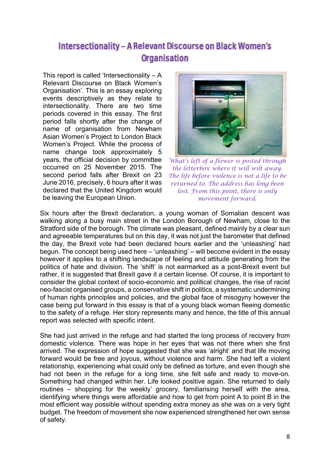# Intersectionality – A Relevant Discourse on Black Women's **Organisation**

This report is called 'Intersectionality  $- A$ Relevant Discourse on Black Women's Organisation'. This is an essay exploring events descriptively as they relate to intersectionality. There are two time periods covered in this essay. The first period falls shortly after the change of name of organisation from Newham Asian Women's Project to London Black Women's Project. While the process of name change took approximately 5 years, the official decision by committee occurred on 25 November 2015. The second period falls after Brexit on 23 June 2016, precisely, 6 hours after it was declared that the United Kingdom would be leaving the European Union.



*What's left of a flower is posted through the letterbox where it will wilt away. The life before violence is not a life to be returned to. The address has long been lost. From this point, there is only movement forward.*

Six hours after the Brexit declaration, a young woman of Somalian descent was walking along a busy main street in the London Borough of Newham, close to the Stratford side of the borough. The climate was pleasant, defined mainly by a clear sun and agreeable temperatures but on this day, it was not just the barometer that defined the day, the Brexit vote had been declared hours earlier and the 'unleashing' had begun. The concept being used here – 'unleashing' – will become evident in the essay however it applies to a shifting landscape of feeling and attitude generating from the politics of hate and division. The 'shift' is not earmarked as a post-Brexit event but rather, it is suggested that Brexit gave it a certain license. Of course, it is important to consider the global context of socio-economic and political changes, the rise of racist neo-fascist organised groups, a conservative shift in politics, a systematic undermining of human rights principles and policies, and the global face of misogyny however the case being put forward in this essay is that of a young black woman fleeing domestic to the safety of a refuge. Her story represents many and hence, the title of this annual report was selected with specific intent.

She had just arrived in the refuge and had started the long process of recovery from domestic violence. There was hope in her eyes that was not there when she first arrived. The expression of hope suggested that she was 'alright' and that life moving forward would be free and joyous, without violence and harm. She had left a violent relationship, experiencing what could only be defined as torture, and even though she had not been in the refuge for a long time, she felt safe and ready to move-on. Something had changed within her. Life looked positive again. She returned to daily routines – shopping for the weekly' grocery, familiarising herself with the area, identifying where things were affordable and how to get from point A to point B in the most efficient way possible without spending extra money as she was on a very tight budget. The freedom of movement she now experienced strengthened her own sense of safety.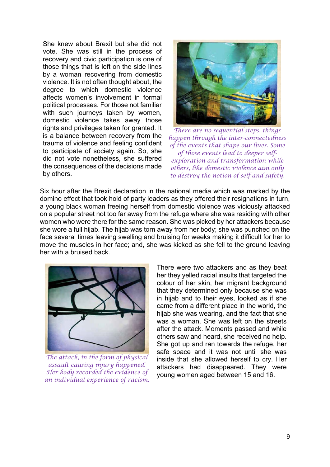She knew about Brexit but she did not vote. She was still in the process of recovery and civic participation is one of those things that is left on the side lines by a woman recovering from domestic violence. It is not often thought about, the degree to which domestic violence affects women's involvement in formal political processes. For those not familiar with such journeys taken by women, domestic violence takes away those rights and privileges taken for granted. It is a balance between recovery from the trauma of violence and feeling confident to participate of society again. So, she did not vote nonetheless, she suffered the consequences of the decisions made by others.



*There are no sequential steps, things happen through the inter-connectedness of the events that shape our lives. Some of those events lead to deeper selfexploration and transformation while others, like domestic violence aim only to destroy the notion of self and safety.* 

Six hour after the Brexit declaration in the national media which was marked by the domino effect that took hold of party leaders as they offered their resignations in turn, a young black woman freeing herself from domestic violence was viciously attacked on a popular street not too far away from the refuge where she was residing with other women who were there for the same reason. She was picked by her attackers because she wore a full hijab. The hijab was torn away from her body; she was punched on the face several times leaving swelling and bruising for weeks making it difficult for her to move the muscles in her face; and, she was kicked as she fell to the ground leaving her with a bruised back.



*The attack, in the form of physical assault causing injury happened. Her body recorded the evidence of an individual experience of racism.* 

There were two attackers and as they beat her they yelled racial insults that targeted the colour of her skin, her migrant background that they determined only because she was in hijab and to their eyes, looked as if she came from a different place in the world, the hijab she was wearing, and the fact that she was a woman. She was left on the streets after the attack. Moments passed and while others saw and heard, she received no help. She got up and ran towards the refuge, her safe space and it was not until she was inside that she allowed herself to cry. Her attackers had disappeared. They were young women aged between 15 and 16.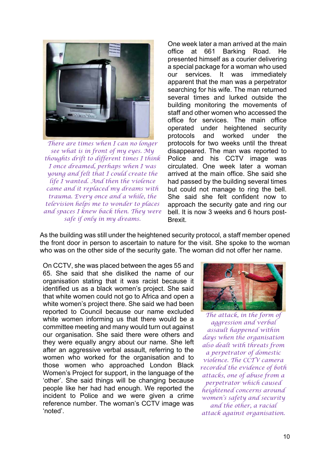

*There are times when I can no longer see what is in front of my eyes. My thoughts drift to different times I think I once dreamed, perhaps when I was young and felt that I could create the life I wanted. And then the violence came and it replaced my dreams with trauma. Every once and a while, the television helps me to wonder to places and spaces I knew back then. They were safe if only in my dreams.*

One week later a man arrived at the main office at 661 Barking Road. He presented himself as a courier delivering a special package for a woman who used our services. It was immediately apparent that the man was a perpetrator searching for his wife. The man returned several times and lurked outside the building monitoring the movements of staff and other women who accessed the office for services. The main office operated under heightened security protocols and worked under the protocols for two weeks until the threat disappeared. The man was reported to Police and his CCTV image was circulated. One week later a woman arrived at the main office. She said she had passed by the building several times but could not manage to ring the bell. She said she felt confident now to approach the security gate and ring our bell. It is now 3 weeks and 6 hours post-Brexit.

As the building was still under the heightened security protocol, a staff member opened the front door in person to ascertain to nature for the visit. She spoke to the woman who was on the other side of the security gate. The woman did not offer her name.

On CCTV, she was placed between the ages 55 and 65. She said that she disliked the name of our organisation stating that it was racist because it identified us as a black women's project. She said that white women could not go to Africa and open a white women's project there. She said we had been reported to Council because our name excluded white women informing us that there would be a committee meeting and many would turn out against our organisation. She said there were others and they were equally angry about our name. She left after an aggressive verbal assault, referring to the women who worked for the organisation and to those women who approached London Black Women's Project for support, in the language of the 'other'. She said things will be changing because people like her had had enough. We reported the incident to Police and we were given a crime reference number. The woman's CCTV image was 'noted'.



*The attack, in the form of aggression and verbal assault happened within days when the organisation also dealt with threats from a perpetrator of domestic violence. The CCTV camera recorded the evidence of both attacks, one of abuse from a perpetrator which caused heightened concerns around women's safety and security and the other, a racial attack against organisation.*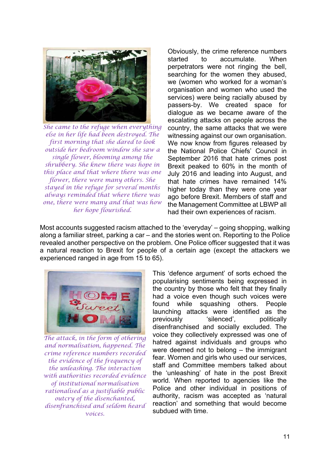

*She came to the refuge when everything else in her life had been destroyed. The first morning that she dared to look outside her bedroom window she saw a single flower, blooming among the shrubbery. She knew there was hope in this place and that where there was one flower, there were many others. She stayed in the refuge for several months always reminded that where there was one, there were many and that was how her hope flourished.*

Obviously, the crime reference numbers started to accumulate. When perpetrators were not ringing the bell, searching for the women they abused, we (women who worked for a woman's organisation and women who used the services) were being racially abused by passers-by. We created space for dialogue as we became aware of the escalating attacks on people across the country, the same attacks that we were witnessing against our own organisation. We now know from figures released by the National Police Chiefs' Council in September 2016 that hate crimes post Brexit peaked to 60% in the month of July 2016 and leading into August, and that hate crimes have remained 14% higher today than they were one year ago before Brexit. Members of staff and the Management Committee at LBWP all had their own experiences of racism.

Most accounts suggested racism attached to the 'everyday' – going shopping, walking along a familiar street, parking a car – and the stories went on. Reporting to the Police revealed another perspective on the problem. One Police officer suggested that it was a natural reaction to Brexit for people of a certain age (except the attackers we experienced ranged in age from 15 to 65).



*The attack, in the form of othering and normalisation, happened. The crime reference numbers recorded the evidence of the frequency of the unleashing. The interaction with authorities recorded evidence of institutional normalisation rationalised as a justifiable public outcry of the disenchanted, disenfranchised and seldom heard voices.* 

This 'defence argument' of sorts echoed the popularising sentiments being expressed in the country by those who felt that they finally had a voice even though such voices were found while squashing others. People launching attacks were identified as the previously 'silenced', politically disenfranchised and socially excluded. The voice they collectively expressed was one of hatred against individuals and groups who were deemed not to belong – the immigrant fear. Women and girls who used our services, staff and Committee members talked about the 'unleashing' of hate in the post Brexit world. When reported to agencies like the Police and other individual in positions of authority, racism was accepted as 'natural reaction' and something that would become subdued with time.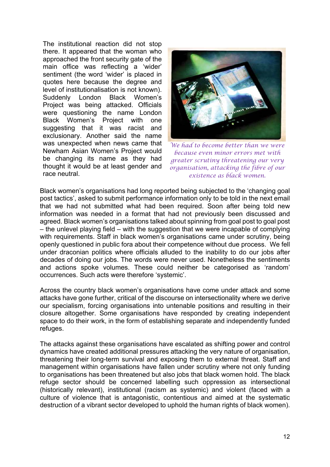The institutional reaction did not stop there. It appeared that the woman who approached the front security gate of the main office was reflecting a 'wider' sentiment (the word 'wider' is placed in quotes here because the degree and level of institutionalisation is not known). Suddenly London Black Women's Project was being attacked. Officials were questioning the name London Black Women's Project with one suggesting that it was racist and exclusionary. Another said the name was unexpected when news came that Newham Asian Women's Project would be changing its name as they had thought it would be at least gender and race neutral.



*We had to become better than we were because even minor errors met with greater scrutiny threatening our very organisation, attacking the fibre of our existence as black women.* 

Black women's organisations had long reported being subjected to the 'changing goal post tactics', asked to submit performance information only to be told in the next email that we had not submitted what had been required. Soon after being told new information was needed in a format that had not previously been discussed and agreed. Black women's organisations talked about spinning from goal post to goal post – the unlevel playing field – with the suggestion that we were incapable of complying with requirements. Staff in black women's organisations came under scrutiny, being openly questioned in public fora about their competence without due process. We fell under draconian politics where officials alluded to the inability to do our jobs after decades of doing our jobs. The words were never used. Nonetheless the sentiments and actions spoke volumes. These could neither be categorised as 'random' occurrences. Such acts were therefore 'systemic'.

Across the country black women's organisations have come under attack and some attacks have gone further, critical of the discourse on intersectionality where we derive our specialism, forcing organisations into untenable positions and resulting in their closure altogether. Some organisations have responded by creating independent space to do their work, in the form of establishing separate and independently funded refuges.

The attacks against these organisations have escalated as shifting power and control dynamics have created additional pressures attacking the very nature of organisation, threatening their long-term survival and exposing them to external threat. Staff and management within organisations have fallen under scrutiny where not only funding to organisations has been threatened but also jobs that black women hold. The black refuge sector should be concerned labelling such oppression as intersectional (historically relevant), institutional (racism as systemic) and violent (faced with a culture of violence that is antagonistic, contentious and aimed at the systematic destruction of a vibrant sector developed to uphold the human rights of black women).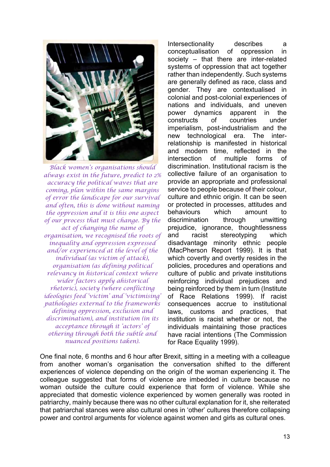

*Black women's organisations should always exist in the future, predict to 2% accuracy the political waves that are coming, plan within the same margins of error the landscape for our survival and often, this is done without naming the oppression and it is this one aspect of our process that must change. By the act of changing the name of organisation, we recognised the roots of inequality and oppression expressed and/or experienced at the level of the individual (as victim of attack), organisation (as defining political relevancy in historical context where wider factors apply ahistorical rhetoric), society (where conflicting ideologies feed 'victim' and 'victimising' pathologies external to the frameworks defining oppression, exclusion and discrimination), and institution (in its acceptance through it 'actors' of othering through both the subtle and nuanced positions taken).* 

Intersectionality describes a conceptualisation of oppression in society – that there are inter-related systems of oppression that act together rather than independently. Such systems are generally defined as race, class and gender. They are contextualised in colonial and post-colonial experiences of nations and individuals, and uneven power dynamics apparent in the constructs of countries under imperialism, post-industrialism and the new technological era. The interrelationship is manifested in historical and modern time, reflected in the intersection of multiple forms of discrimination. Institutional racism is the collective failure of an organisation to provide an appropriate and professional service to people because of their colour, culture and ethnic origin. It can be seen or protected in processes, attitudes and behaviours which amount to discrimination through unwitting prejudice, ignorance, thoughtlessness and racist stereotyping which disadvantage minority ethnic people (MacPherson Report 1999). It is that which covertly and overtly resides in the policies, procedures and operations and culture of public and private institutions reinforcing individual prejudices and being reinforced by them in turn (Institute of Race Relations 1999). If racist consequences accrue to institutional laws, customs and practices, that institution is racist whether or not, the individuals maintaining those practices have racial intentions (The Commission for Race Equality 1999).

One final note, 6 months and 6 hour after Brexit, sitting in a meeting with a colleague from another woman's organisation the conversation shifted to the different experiences of violence depending on the origin of the woman experiencing it. The colleague suggested that forms of violence are imbedded in culture because no woman outside the culture could experience that form of violence. While she appreciated that domestic violence experienced by women generally was rooted in patriarchy, mainly because there was no other cultural explanation for it, she reiterated that patriarchal stances were also cultural ones in 'other' cultures therefore collapsing power and control arguments for violence against women and girls as cultural ones.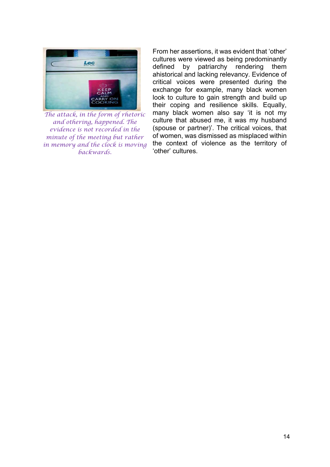

*The attack, in the form of rhetoric and othering, happened. The evidence is not recorded in the minute of the meeting but rather in memory and the clock is moving backwards.*

From her assertions, it was evident that 'other' cultures were viewed as being predominantly defined by patriarchy rendering them ahistorical and lacking relevancy. Evidence of critical voices were presented during the exchange for example, many black women look to culture to gain strength and build up their coping and resilience skills. Equally, many black women also say 'it is not my culture that abused me, it was my husband (spouse or partner)'. The critical voices, that of women, was dismissed as misplaced within the context of violence as the territory of 'other' cultures.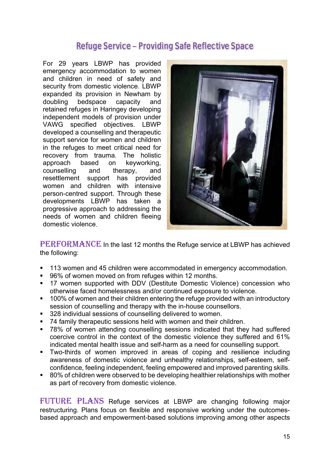## Refuge Service – Providing Safe Reflective Space

For 29 years LBWP has provided emergency accommodation to women and children in need of safety and security from domestic violence. LBWP expanded its provision in Newham by doubling bedspace capacity and retained refuges in Haringey developing independent models of provision under VAWG specified objectives. LBWP developed a counselling and therapeutic support service for women and children in the refuges to meet critical need for recovery from trauma. The holistic approach based on keyworking, counselling and therapy, and resettlement support has provided women and children with intensive person-centred support. Through these developments LBWP has taken a progressive approach to addressing the needs of women and children fleeing domestic violence.



PERFORMANCE In the last 12 months the Refuge service at LBWP has achieved the following:

- **113 women and 45 children were accommodated in emergency accommodation.**
- 96% of women moved on from refuges within 12 months.
- **17 women supported with DDV (Destitute Domestic Violence) concession who** otherwise faced homelessness and/or continued exposure to violence.
- <sup>1</sup> 100% of women and their children entering the refuge provided with an introductory session of counselling and therapy with the in-house counsellors.
- 328 individual sessions of counselling delivered to women.
- 74 family therapeutic sessions held with women and their children.
- 78% of women attending counselling sessions indicated that they had suffered coercive control in the context of the domestic violence they suffered and 61% indicated mental health issue and self-harm as a need for counselling support.
- Two-thirds of women improved in areas of coping and resilience including awareness of domestic violence and unhealthy relationships, self-esteem, selfconfidence, feeling independent, feeling empowered and improved parenting skills.
- 80% of children were observed to be developing healthier relationships with mother as part of recovery from domestic violence.

FUTURE PLANS Refuge services at LBWP are changing following major restructuring. Plans focus on flexible and responsive working under the outcomesbased approach and empowerment-based solutions improving among other aspects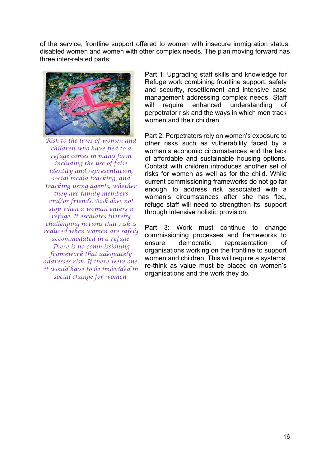of the service, frontline support offered to women with insecure immigration status, disabled women and women with other complex needs. The plan moving forward has three inter-related parts:



*Risk to the lives of women and children who have fled to a refuge comes in many form including the use of false identity and representation, social media tracking, and tracking using agents, whether they are family members and/or friends. Risk does not stop when a woman enters a refuge. It escalates thereby challenging notions that risk is reduced when women are safely accommodated in a refuge. There is no commissioning framework that adequately addresses risk. If there were one, it would have to be imbedded in social change for women.* 

Part 1: Upgrading staff skills and knowledge for Refuge work combining frontline support, safety and security, resettlement and intensive case management addressing complex needs. Staff will require enhanced understanding of perpetrator risk and the ways in which men track women and their children.

Part 2: Perpetrators rely on women's exposure to other risks such as vulnerability faced by a woman's economic circumstances and the lack of affordable and sustainable housing options. Contact with children introduces another set of risks for women as well as for the child. While current commissioning frameworks do not go far enough to address risk associated with a woman's circumstances after she has fled, refuge staff will need to strengthen its' support through intensive holistic provision.

Part 3: Work must continue to change commissioning processes and frameworks to ensure democratic representation of organisations working on the frontline to support women and children. This will require a systems' re-think as value must be placed on women's organisations and the work they do.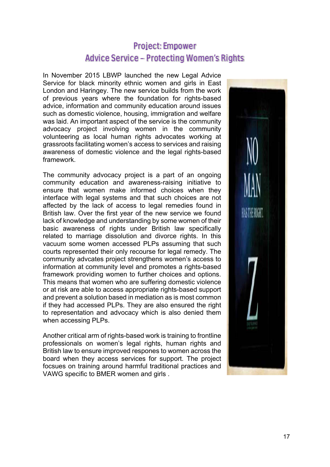# Project: Empower Advice Service – Protecting Women's Rights

In November 2015 LBWP launched the new Legal Advice Service for black minority ethnic women and girls in East London and Haringey. The new service builds from the work of previous years where the foundation for rights-based advice, information and community education around issues such as domestic violence, housing, immigration and welfare was laid. An important aspect of the service is the community advocacy project involving women in the community volunteering as local human rights advocates working at grassroots facilitating women's access to services and raising awareness of domestic violence and the legal rights-based framework.

The community advocacy project is a part of an ongoing community education and awareness-raising initiative to ensure that women make informed choices when they interface with legal systems and that such choices are not affected by the lack of access to legal remedies found in British law. Over the first year of the new service we found lack of knowledge and understanding by some women of their basic awareness of rights under British law specifically related to marriage dissolution and divorce rights. In this vacuum some women accessed PLPs assuming that such courts represented their only recourse for legal remedy. The community advcates project strengthens women's access to information at community level and promotes a rights-based framework providing women to further choices and options. This means that women who are suffering domestic violence or at risk are able to access appropriate rights-based support and prevent a solution based in mediation as is most common if they had accessed PLPs. They are also ensured the right to representation and advocacy which is also denied them when accessing PLPs.

Another critical arm of rights-based work is training to frontline professionals on women's legal rights, human rights and British law to ensure improved respones to women across the board when they access services for support. The project focsues on training around harmful traditional practices and VAWG specific to BMER women and girls .

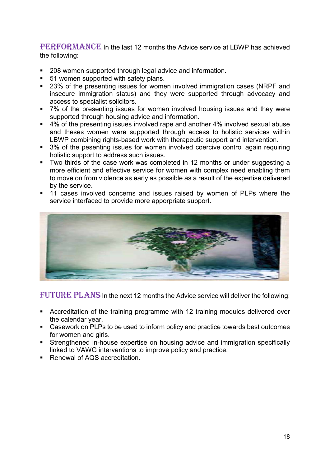PERFORMANCE In the last 12 months the Advice service at LBWP has achieved the following:

- 208 women supported through legal advice and information.
- 51 women supported with safety plans.
- 23% of the presenting issues for women involved immigration cases (NRPF and insecure immigration status) and they were supported through advocacy and access to specialist solicitors.
- 7% of the presenting issues for women involved housing issues and they were supported through housing advice and information.
- 4% of the presenting issues involved rape and another 4% involved sexual abuse and theses women were supported through access to holistic services within LBWP combining rights-based work with therapeutic support and intervention.
- 3% of the pesenting issues for women involved coercive control again requiring holistic support to address such issues.
- Two thirds of the case work was completed in 12 months or under suggesting a more efficient and effective service for women with complex need enabling them to move on from violence as early as possible as a result of the expertise delivered by the service.
- **11** cases involved concerns and issues raised by women of PLPs where the service interfaced to provide more apporpriate support.



FUTURE PLANS In the next 12 months the Advice service will deliver the following:

- Accreditation of the training programme with 12 training modules delivered over the calendar year.
- Casework on PLPs to be used to inform policy and practice towards best outcomes for women and girls.
- Strengthened in-house expertise on housing advice and immigration specifically linked to VAWG interventions to improve policy and practice.
- Renewal of AQS accreditation.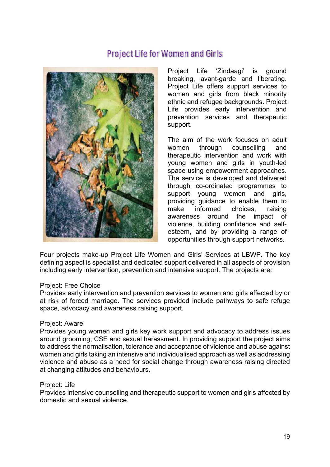## Project Life for Women and Girls



Project Life 'Zindaagi' is ground breaking, avant-garde and liberating. Project Life offers support services to women and girls from black minority ethnic and refugee backgrounds. Project Life provides early intervention and prevention services and therapeutic support.

The aim of the work focuses on adult women through counselling and therapeutic intervention and work with young women and girls in youth-led space using empowerment approaches. The service is developed and delivered through co-ordinated programmes to support young women and girls, providing guidance to enable them to make informed choices, raising awareness around the impact of violence, building confidence and selfesteem, and by providing a range of opportunities through support networks.

Four projects make-up Project Life Women and Girls' Services at LBWP. The key defining aspect is specialist and dedicated support delivered in all aspects of provision including early intervention, prevention and intensive support. The projects are:

### Project: Free Choice

Provides early intervention and prevention services to women and girls affected by or at risk of forced marriage. The services provided include pathways to safe refuge space, advocacy and awareness raising support.

#### Project: Aware

Provides young women and girls key work support and advocacy to address issues around grooming, CSE and sexual harassment. In providing support the project aims to address the normalisation, tolerance and acceptance of violence and abuse against women and girls taking an intensive and individualised approach as well as addressing violence and abuse as a need for social change through awareness raising directed at changing attitudes and behaviours.

### Project: Life

Provides intensive counselling and therapeutic support to women and girls affected by domestic and sexual violence.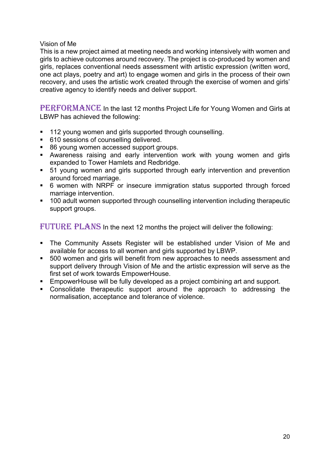Vision of Me

This is a new project aimed at meeting needs and working intensively with women and girls to achieve outcomes around recovery. The project is co-produced by women and girls, replaces conventional needs assessment with artistic expression (written word, one act plays, poetry and art) to engage women and girls in the process of their own recovery, and uses the artistic work created through the exercise of women and girls' creative agency to identify needs and deliver support.

PERFORMANCE In the last 12 months Project Life for Young Women and Girls at LBWP has achieved the following:

- **112 young women and girls supported through counselling.**
- 610 sessions of counselling delivered.
- 86 young women accessed support groups.
- Awareness raising and early intervention work with young women and girls expanded to Tower Hamlets and Redbridge.
- 51 young women and girls supported through early intervention and prevention around forced marriage.
- 6 women with NRPF or insecure immigration status supported through forced marriage intervention.
- **100 adult women supported through counselling intervention including therapeutic** support groups.

FUTURE PLANS In the next 12 months the project will deliver the following:

- The Community Assets Register will be established under Vision of Me and available for access to all women and girls supported by LBWP.
- 500 women and girls will benefit from new approaches to needs assessment and support delivery through Vision of Me and the artistic expression will serve as the first set of work towards EmpowerHouse.
- **EmpowerHouse will be fully developed as a project combining art and support.**
- Consolidate therapeutic support around the approach to addressing the normalisation, acceptance and tolerance of violence.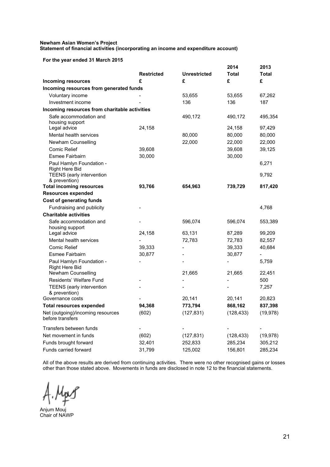#### **Newham Asian Women's Project Statement of financial activities (incorporating an income and expenditure account)**

#### **For the year ended 31 March 2015**

| FUI THE YEAR ENGED JI MAICH ZU IJ                                     |                   |                          |                          |                          |
|-----------------------------------------------------------------------|-------------------|--------------------------|--------------------------|--------------------------|
|                                                                       | <b>Restricted</b> | <b>Unrestricted</b>      | 2014<br><b>Total</b>     | 2013<br>Total            |
| <b>Incoming resources</b>                                             | £                 | £                        | £                        | £                        |
| Incoming resources from generated funds                               |                   |                          |                          |                          |
| Voluntary income                                                      |                   | 53,655                   | 53,655                   | 67,262                   |
| Investment income                                                     |                   | 136                      | 136                      | 187                      |
| Incoming resources from charitable activities                         |                   |                          |                          |                          |
| Safe accommodation and<br>housing support                             |                   | 490,172                  | 490,172                  | 495,354                  |
| Legal advice                                                          | 24,158            |                          | 24,158                   | 97,429                   |
| Mental health services                                                |                   | 80,000                   | 80,000                   | 80,000                   |
| Newham Counselling                                                    |                   | 22,000                   | 22,000                   | 22,000                   |
| <b>Comic Relief</b>                                                   | 39,608            |                          | 39,608                   | 39,125                   |
| Esmee Fairbairn                                                       | 30,000            |                          | 30,000                   |                          |
| Paul Hamlyn Foundation -<br><b>Right Here Bid</b>                     |                   |                          |                          | 6,271                    |
| <b>TEENS</b> (early intervention<br>& prevention)                     |                   |                          |                          | 9,792                    |
| <b>Total incoming resources</b>                                       | 93,766            | 654,963                  | 739,729                  | 817,420                  |
| <b>Resources expended</b>                                             |                   |                          |                          |                          |
| <b>Cost of generating funds</b>                                       |                   |                          |                          |                          |
| Fundraising and publicity                                             |                   |                          |                          | 4,768                    |
| <b>Charitable activities</b>                                          |                   |                          |                          |                          |
| Safe accommodation and<br>housing support                             |                   | 596,074                  | 596,074                  | 553,389                  |
| Legal advice                                                          | 24,158            | 63,131                   | 87,289                   | 99,209                   |
| Mental health services                                                |                   | 72,783                   | 72,783                   | 82,557                   |
| <b>Comic Relief</b>                                                   | 39,333            | $\overline{\phantom{0}}$ | 39,333                   | 40,684                   |
| Esmee Fairbairn                                                       | 30,877            |                          | 30,877                   | $\overline{\phantom{0}}$ |
| Paul Hamlyn Foundation -<br><b>Right Here Bid</b>                     |                   | $\blacksquare$           | $\overline{\phantom{0}}$ | 5,759                    |
| Newham Counselling<br>Residents' Welfare Fund                         |                   | 21,665                   | 21,665                   | 22,451                   |
|                                                                       |                   |                          | $\overline{\phantom{0}}$ | 500                      |
| <b>TEENS</b> (early intervention<br>& prevention)<br>Governance costs |                   | 20,141                   | 20,141                   | 7,257<br>20,823          |
| <b>Total resources expended</b>                                       | 94,368            | 773,794                  | 868,162                  | 837,398                  |
| Net (outgoing)/incoming resources                                     | (602)             | (127, 831)               | (128, 433)               | (19, 978)                |
| before transfers                                                      |                   |                          |                          |                          |
| Transfers between funds                                               |                   |                          |                          |                          |
| Net movement in funds                                                 | (602)             | (127, 831)               | (128, 433)               | (19, 978)                |
| Funds brought forward                                                 | 32,401            | 252,833                  | 285,234                  | 305,212                  |
| Funds carried forward                                                 | 31,799            | 125,002                  | 156,801                  | 285,234                  |

All of the above results are derived from continuing activities. There were no other recognised gains or losses other than those stated above. Movements in funds are disclosed in note 12 to the financial statements.

Anjum Mouj Chair of NAWP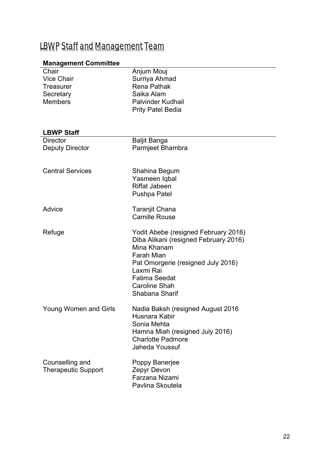# LBWP Staff and Management Team

## **Management Committee**

| Chair<br><b>Vice Chair</b><br><b>Treasurer</b><br>Secretary<br><b>Members</b> | Anjum Mouj<br>Surriya Ahmad<br><b>Rena Pathak</b><br>Saika Alam<br>Palvinder Kudhail<br><b>Prity Patel Bedia</b>                                                                                                                       |
|-------------------------------------------------------------------------------|----------------------------------------------------------------------------------------------------------------------------------------------------------------------------------------------------------------------------------------|
| <b>LBWP Staff</b>                                                             |                                                                                                                                                                                                                                        |
| <b>Director</b><br><b>Deputy Director</b>                                     | <b>Baljit Banga</b><br>Parmjeet Bhambra                                                                                                                                                                                                |
| <b>Central Services</b>                                                       | Shahina Begum<br>Yasmeen Iqbal<br><b>Riffat Jabeen</b><br><b>Pushpa Patel</b>                                                                                                                                                          |
| Advice                                                                        | Taranjit Chana<br><b>Camille Rouse</b>                                                                                                                                                                                                 |
| Refuge                                                                        | Yodit Abebe (resigned February 2016)<br>Diba Alikani (resigned February 2016)<br>Mina Khanam<br><b>Farah Mian</b><br>Pat Omorgerie (resigned July 2016)<br>Laxmi Rai<br><b>Fatima Seedat</b><br><b>Caroline Shah</b><br>Shabana Sharif |
| <b>Young Women and Girls</b>                                                  | Nadia Baksh (resigned August 2016<br>Husnara Kabir<br>Sonia Mehta<br>Hamna Miah (resigned July 2016)<br><b>Charlotte Padmore</b><br>Jaheda Youssuf                                                                                     |
| Counselling and<br><b>Therapeutic Support</b>                                 | Poppy Banerjee<br>Zepyr Devon<br>Farzana Nizami<br>Pavlina Skoutela                                                                                                                                                                    |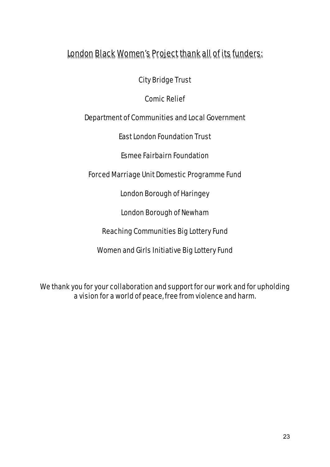# London Black Women's Project thank all of its funders:

City Bridge Trust

Comic Relief

Department of Communities and Local Government

East London Foundation Trust

Esmee Fairbairn Foundation

Forced Marriage Unit Domestic Programme Fund

London Borough of Haringey

London Borough of Newham

Reaching Communities Big Lottery Fund

Women and Girls Initiative Big Lottery Fund

We thank you for your collaboration and support for our work and for upholding a vision for a world of peace, free from violence and harm.